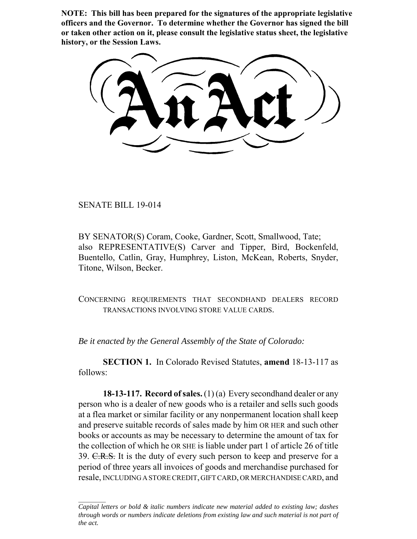**NOTE: This bill has been prepared for the signatures of the appropriate legislative officers and the Governor. To determine whether the Governor has signed the bill or taken other action on it, please consult the legislative status sheet, the legislative history, or the Session Laws.**

SENATE BILL 19-014

BY SENATOR(S) Coram, Cooke, Gardner, Scott, Smallwood, Tate; also REPRESENTATIVE(S) Carver and Tipper, Bird, Bockenfeld, Buentello, Catlin, Gray, Humphrey, Liston, McKean, Roberts, Snyder, Titone, Wilson, Becker.

CONCERNING REQUIREMENTS THAT SECONDHAND DEALERS RECORD TRANSACTIONS INVOLVING STORE VALUE CARDS.

*Be it enacted by the General Assembly of the State of Colorado:*

**SECTION 1.** In Colorado Revised Statutes, **amend** 18-13-117 as follows:

**18-13-117. Record of sales.** (1) (a) Every secondhand dealer or any person who is a dealer of new goods who is a retailer and sells such goods at a flea market or similar facility or any nonpermanent location shall keep and preserve suitable records of sales made by him OR HER and such other books or accounts as may be necessary to determine the amount of tax for the collection of which he OR SHE is liable under part 1 of article 26 of title 39. C.R.S. It is the duty of every such person to keep and preserve for a period of three years all invoices of goods and merchandise purchased for resale, INCLUDING A STORE CREDIT, GIFT CARD, OR MERCHANDISE CARD, and

*Capital letters or bold & italic numbers indicate new material added to existing law; dashes through words or numbers indicate deletions from existing law and such material is not part of the act.*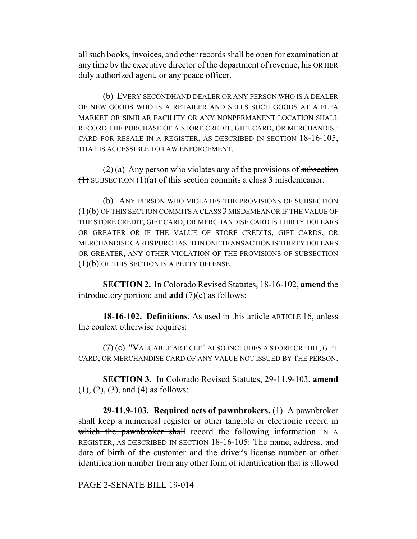all such books, invoices, and other records shall be open for examination at any time by the executive director of the department of revenue, his OR HER duly authorized agent, or any peace officer.

(b) EVERY SECONDHAND DEALER OR ANY PERSON WHO IS A DEALER OF NEW GOODS WHO IS A RETAILER AND SELLS SUCH GOODS AT A FLEA MARKET OR SIMILAR FACILITY OR ANY NONPERMANENT LOCATION SHALL RECORD THE PURCHASE OF A STORE CREDIT, GIFT CARD, OR MERCHANDISE CARD FOR RESALE IN A REGISTER, AS DESCRIBED IN SECTION 18-16-105, THAT IS ACCESSIBLE TO LAW ENFORCEMENT.

 $(2)$  (a) Any person who violates any of the provisions of subsection  $(1)$  SUBSECTION  $(1)(a)$  of this section commits a class 3 misdemeanor.

(b) ANY PERSON WHO VIOLATES THE PROVISIONS OF SUBSECTION (1)(b) OF THIS SECTION COMMITS A CLASS 3 MISDEMEANOR IF THE VALUE OF THE STORE CREDIT, GIFT CARD, OR MERCHANDISE CARD IS THIRTY DOLLARS OR GREATER OR IF THE VALUE OF STORE CREDITS, GIFT CARDS, OR MERCHANDISE CARDS PURCHASED IN ONE TRANSACTION IS THIRTY DOLLARS OR GREATER, ANY OTHER VIOLATION OF THE PROVISIONS OF SUBSECTION (1)(b) OF THIS SECTION IS A PETTY OFFENSE.

**SECTION 2.** In Colorado Revised Statutes, 18-16-102, **amend** the introductory portion; and **add** (7)(c) as follows:

**18-16-102. Definitions.** As used in this article ARTICLE 16, unless the context otherwise requires:

(7) (c) "VALUABLE ARTICLE" ALSO INCLUDES A STORE CREDIT, GIFT CARD, OR MERCHANDISE CARD OF ANY VALUE NOT ISSUED BY THE PERSON.

**SECTION 3.** In Colorado Revised Statutes, 29-11.9-103, **amend** (1), (2), (3), and (4) as follows:

**29-11.9-103. Required acts of pawnbrokers.** (1) A pawnbroker shall keep a numerical register or other tangible or electronic record in which the pawnbroker shall record the following information IN A REGISTER, AS DESCRIBED IN SECTION 18-16-105: The name, address, and date of birth of the customer and the driver's license number or other identification number from any other form of identification that is allowed

PAGE 2-SENATE BILL 19-014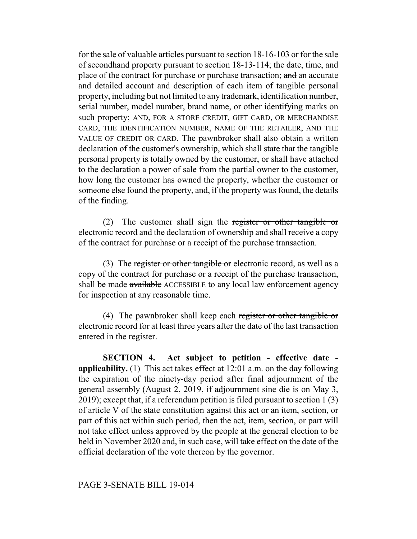for the sale of valuable articles pursuant to section 18-16-103 or for the sale of secondhand property pursuant to section 18-13-114; the date, time, and place of the contract for purchase or purchase transaction; and an accurate and detailed account and description of each item of tangible personal property, including but not limited to any trademark, identification number, serial number, model number, brand name, or other identifying marks on such property; AND, FOR A STORE CREDIT, GIFT CARD, OR MERCHANDISE CARD, THE IDENTIFICATION NUMBER, NAME OF THE RETAILER, AND THE VALUE OF CREDIT OR CARD. The pawnbroker shall also obtain a written declaration of the customer's ownership, which shall state that the tangible personal property is totally owned by the customer, or shall have attached to the declaration a power of sale from the partial owner to the customer, how long the customer has owned the property, whether the customer or someone else found the property, and, if the property was found, the details of the finding.

(2) The customer shall sign the register or other tangible or electronic record and the declaration of ownership and shall receive a copy of the contract for purchase or a receipt of the purchase transaction.

(3) The register or other tangible or electronic record, as well as a copy of the contract for purchase or a receipt of the purchase transaction, shall be made available ACCESSIBLE to any local law enforcement agency for inspection at any reasonable time.

(4) The pawnbroker shall keep each register or other tangible or electronic record for at least three years after the date of the last transaction entered in the register.

**SECTION 4. Act subject to petition - effective date applicability.** (1) This act takes effect at 12:01 a.m. on the day following the expiration of the ninety-day period after final adjournment of the general assembly (August 2, 2019, if adjournment sine die is on May 3, 2019); except that, if a referendum petition is filed pursuant to section 1 (3) of article V of the state constitution against this act or an item, section, or part of this act within such period, then the act, item, section, or part will not take effect unless approved by the people at the general election to be held in November 2020 and, in such case, will take effect on the date of the official declaration of the vote thereon by the governor.

## PAGE 3-SENATE BILL 19-014